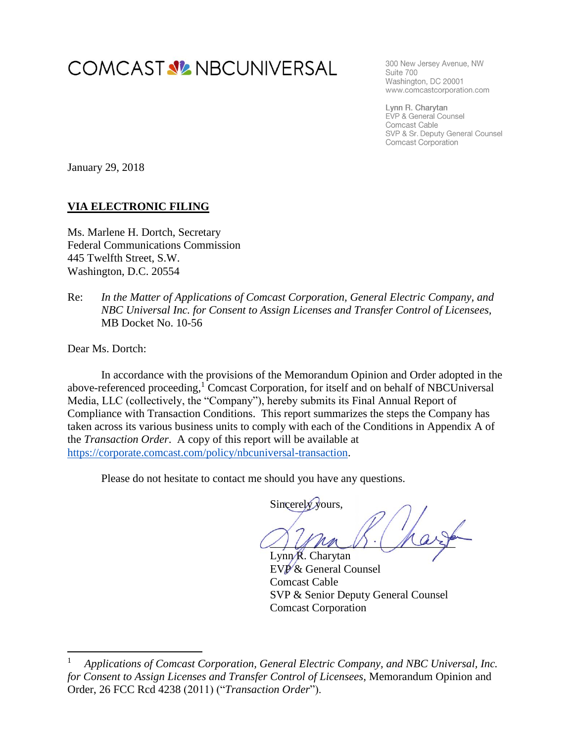# **COMCAST V2 NBCUNIVERSAL**

300 New Jersey Avenue, NW Suite 700 Washington, DC 20001 www.comcastcorporation.com

Lynn R. Charytan EVP & General Counsel Comcast Cable SVP & Sr. Deputy General Counsel **Comcast Corporation** 

January 29, 2018

#### **VIA ELECTRONIC FILING**

Ms. Marlene H. Dortch, Secretary Federal Communications Commission 445 Twelfth Street, S.W. Washington, D.C. 20554

Re: *In the Matter of Applications of Comcast Corporation, General Electric Company, and NBC Universal Inc. for Consent to Assign Licenses and Transfer Control of Licensees,* MB Docket No. 10-56

Dear Ms. Dortch:

 $\overline{\phantom{a}}$ 

In accordance with the provisions of the Memorandum Opinion and Order adopted in the above-referenced proceeding, <sup>1</sup> Comcast Corporation, for itself and on behalf of NBCUniversal Media, LLC (collectively, the "Company"), hereby submits its Final Annual Report of Compliance with Transaction Conditions. This report summarizes the steps the Company has taken across its various business units to comply with each of the Conditions in Appendix A of the *Transaction Order*. A copy of this report will be available at [https://corporate.comcast.com/policy/nbcuniversal-transaction.](https://corporate.comcast.com/policy/nbcuniversal-transaction)

Please do not hesitate to contact me should you have any questions.

Sincerely yours.

 $\wedge$  and  $\wedge$ 

Lynn R. Charytan EVP & General Counsel Comcast Cable SVP & Senior Deputy General Counsel Comcast Corporation

<sup>1</sup> *Applications of Comcast Corporation, General Electric Company, and NBC Universal, Inc. for Consent to Assign Licenses and Transfer Control of Licensees*, Memorandum Opinion and Order, 26 FCC Rcd 4238 (2011) ("*Transaction Order*").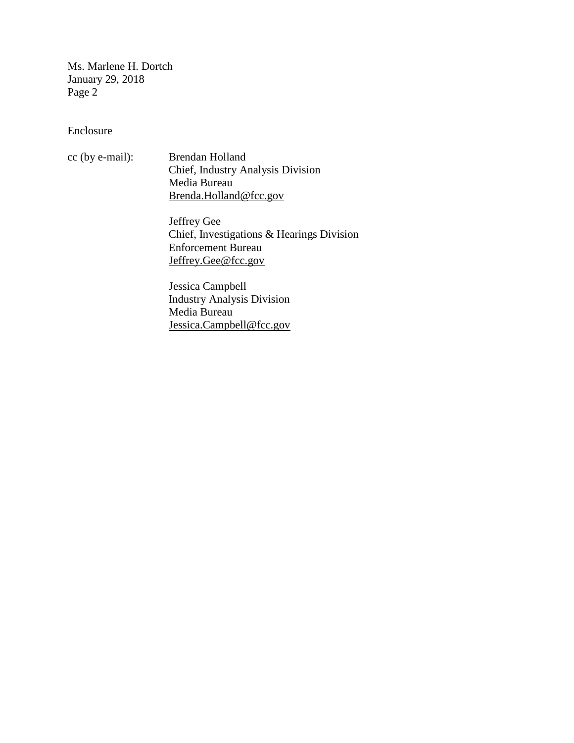Ms. Marlene H. Dortch January 29, 2018 Page 2

Enclosure

cc (by e-mail): Brendan Holland Chief, Industry Analysis Division Media Bureau [Brenda.Holland@fcc.gov](mailto:Brenda.Holland@fcc.gov)

> Jeffrey Gee Chief, Investigations & Hearings Division Enforcement Bureau [Jeffrey.Gee@fcc.gov](mailto:Jeffrey.Gee@fcc.gov)

Jessica Campbell Industry Analysis Division Media Bureau [Jessica.Campbell@fcc.gov](mailto:Jessica.Campbell@fcc.gov)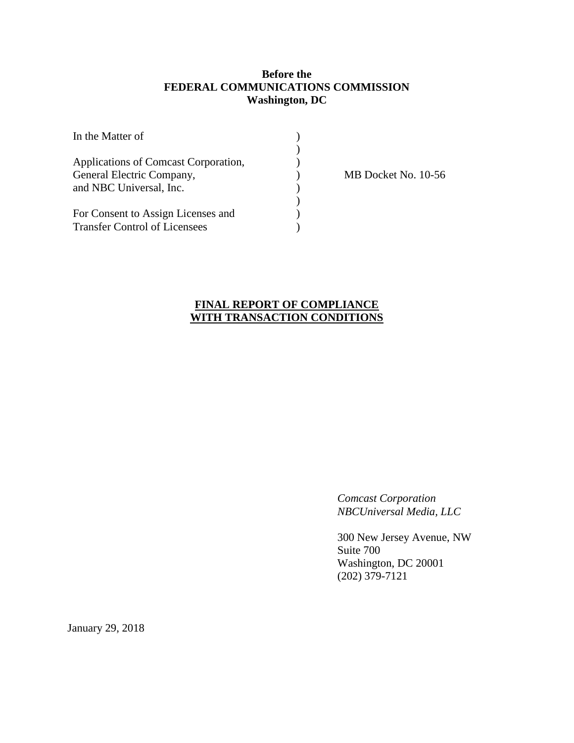#### **Before the FEDERAL COMMUNICATIONS COMMISSION Washington, DC**

| In the Matter of                                                           |  |
|----------------------------------------------------------------------------|--|
| Applications of Comcast Corporation,<br>General Electric Company,          |  |
| and NBC Universal, Inc.                                                    |  |
| For Consent to Assign Licenses and<br><b>Transfer Control of Licensees</b> |  |

MB Docket No. 10-56

# **FINAL REPORT OF COMPLIANCE WITH TRANSACTION CONDITIONS**

*Comcast Corporation NBCUniversal Media, LLC*

300 New Jersey Avenue, NW Suite 700 Washington, DC 20001 (202) 379-7121

January 29, 2018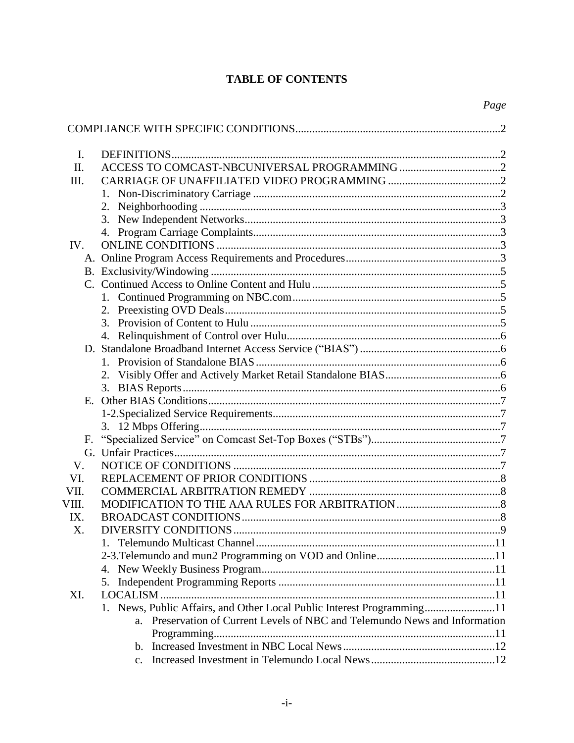# **TABLE OF CONTENTS**

| Ι.    |                                                                             |  |
|-------|-----------------------------------------------------------------------------|--|
| II.   |                                                                             |  |
| III.  |                                                                             |  |
|       |                                                                             |  |
|       | 2.                                                                          |  |
|       |                                                                             |  |
|       |                                                                             |  |
| IV.   |                                                                             |  |
|       |                                                                             |  |
|       |                                                                             |  |
|       |                                                                             |  |
|       |                                                                             |  |
|       |                                                                             |  |
|       |                                                                             |  |
|       |                                                                             |  |
|       |                                                                             |  |
|       |                                                                             |  |
|       |                                                                             |  |
|       |                                                                             |  |
|       |                                                                             |  |
|       |                                                                             |  |
|       |                                                                             |  |
|       |                                                                             |  |
| F.    |                                                                             |  |
|       |                                                                             |  |
| V.    |                                                                             |  |
| VI.   |                                                                             |  |
| VII.  |                                                                             |  |
| VIII. |                                                                             |  |
| IX.   |                                                                             |  |
| X.    |                                                                             |  |
|       |                                                                             |  |
|       |                                                                             |  |
|       |                                                                             |  |
|       | 5.                                                                          |  |
| XI.   | LOCALISM                                                                    |  |
|       | 1. News, Public Affairs, and Other Local Public Interest Programming11      |  |
|       | a. Preservation of Current Levels of NBC and Telemundo News and Information |  |
|       |                                                                             |  |
|       | $b_{1}$                                                                     |  |
|       |                                                                             |  |
|       |                                                                             |  |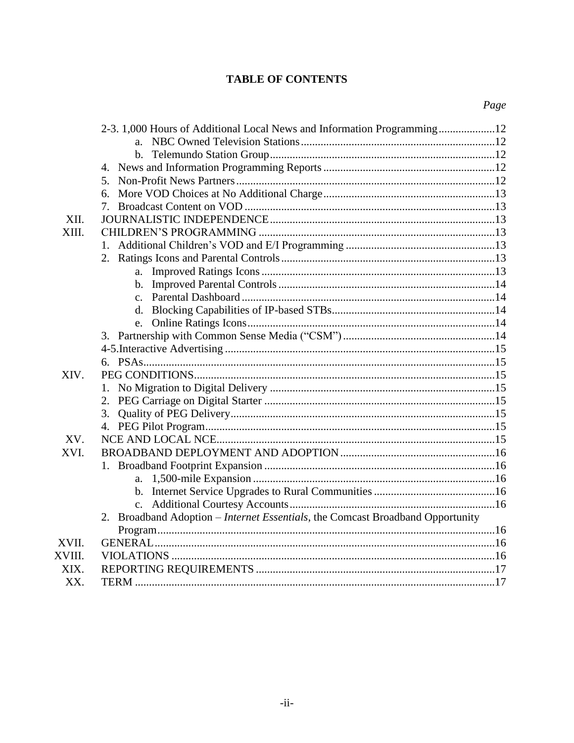# **TABLE OF CONTENTS**

|        | 6.                                                                             |  |
|--------|--------------------------------------------------------------------------------|--|
|        |                                                                                |  |
| XII.   |                                                                                |  |
| XIII.  |                                                                                |  |
|        |                                                                                |  |
|        |                                                                                |  |
|        |                                                                                |  |
|        |                                                                                |  |
|        |                                                                                |  |
|        |                                                                                |  |
|        | e.                                                                             |  |
|        |                                                                                |  |
|        |                                                                                |  |
|        |                                                                                |  |
| XIV.   |                                                                                |  |
|        |                                                                                |  |
|        |                                                                                |  |
|        | 3.                                                                             |  |
|        |                                                                                |  |
| XV.    |                                                                                |  |
| XVI.   |                                                                                |  |
|        |                                                                                |  |
|        |                                                                                |  |
|        |                                                                                |  |
|        |                                                                                |  |
|        | 2. Broadband Adoption - Internet Essentials, the Comcast Broadband Opportunity |  |
|        |                                                                                |  |
| XVII.  |                                                                                |  |
| XVIII. |                                                                                |  |
| XIX.   |                                                                                |  |
| XX.    |                                                                                |  |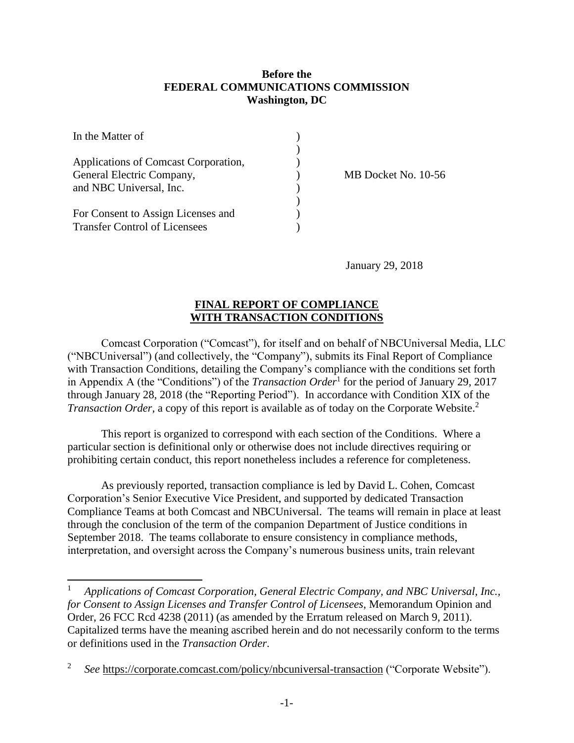#### **Before the FEDERAL COMMUNICATIONS COMMISSION Washington, DC**

| In the Matter of                                                  |  |
|-------------------------------------------------------------------|--|
| Applications of Comcast Corporation,<br>General Electric Company, |  |
| and NBC Universal, Inc.<br>For Consent to Assign Licenses and     |  |
| <b>Transfer Control of Licensees</b>                              |  |

 $\overline{\phantom{a}}$ 

MB Docket No. 10-56

January 29, 2018

#### **FINAL REPORT OF COMPLIANCE WITH TRANSACTION CONDITIONS**

Comcast Corporation ("Comcast"), for itself and on behalf of NBCUniversal Media, LLC ("NBCUniversal") (and collectively, the "Company"), submits its Final Report of Compliance with Transaction Conditions, detailing the Company's compliance with the conditions set forth in Appendix A (the "Conditions") of the *Transaction Order*<sup>1</sup> for the period of January 29, 2017 through January 28, 2018 (the "Reporting Period"). In accordance with Condition XIX of the *Transaction Order*, a copy of this report is available as of today on the Corporate Website. 2

This report is organized to correspond with each section of the Conditions. Where a particular section is definitional only or otherwise does not include directives requiring or prohibiting certain conduct, this report nonetheless includes a reference for completeness.

As previously reported, transaction compliance is led by David L. Cohen, Comcast Corporation's Senior Executive Vice President, and supported by dedicated Transaction Compliance Teams at both Comcast and NBCUniversal. The teams will remain in place at least through the conclusion of the term of the companion Department of Justice conditions in September 2018. The teams collaborate to ensure consistency in compliance methods, interpretation, and oversight across the Company's numerous business units, train relevant

<sup>1</sup> *Applications of Comcast Corporation, General Electric Company, and NBC Universal, Inc., for Consent to Assign Licenses and Transfer Control of Licensees*, Memorandum Opinion and Order, 26 FCC Rcd 4238 (2011) (as amended by the Erratum released on March 9, 2011). Capitalized terms have the meaning ascribed herein and do not necessarily conform to the terms or definitions used in the *Transaction Order*.

<sup>2</sup> *See* <https://corporate.comcast.com/policy/nbcuniversal-transaction> ("Corporate Website").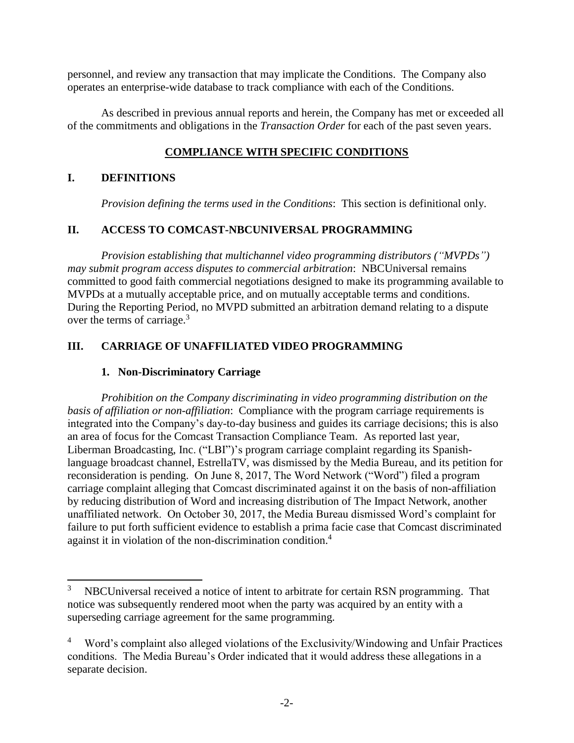personnel, and review any transaction that may implicate the Conditions. The Company also operates an enterprise-wide database to track compliance with each of the Conditions.

As described in previous annual reports and herein, the Company has met or exceeded all of the commitments and obligations in the *Transaction Order* for each of the past seven years.

# **COMPLIANCE WITH SPECIFIC CONDITIONS**

# **I. DEFINITIONS**

*Provision defining the terms used in the Conditions*: This section is definitional only.

# **II. ACCESS TO COMCAST-NBCUNIVERSAL PROGRAMMING**

*Provision establishing that multichannel video programming distributors ("MVPDs") may submit program access disputes to commercial arbitration*: NBCUniversal remains committed to good faith commercial negotiations designed to make its programming available to MVPDs at a mutually acceptable price, and on mutually acceptable terms and conditions. During the Reporting Period, no MVPD submitted an arbitration demand relating to a dispute over the terms of carriage.<sup>3</sup>

# **III. CARRIAGE OF UNAFFILIATED VIDEO PROGRAMMING**

# **1. Non-Discriminatory Carriage**

*Prohibition on the Company discriminating in video programming distribution on the basis of affiliation or non-affiliation*: Compliance with the program carriage requirements is integrated into the Company's day-to-day business and guides its carriage decisions; this is also an area of focus for the Comcast Transaction Compliance Team. As reported last year, Liberman Broadcasting, Inc. ("LBI")'s program carriage complaint regarding its Spanishlanguage broadcast channel, EstrellaTV, was dismissed by the Media Bureau, and its petition for reconsideration is pending. On June 8, 2017, The Word Network ("Word") filed a program carriage complaint alleging that Comcast discriminated against it on the basis of non-affiliation by reducing distribution of Word and increasing distribution of The Impact Network, another unaffiliated network. On October 30, 2017, the Media Bureau dismissed Word's complaint for failure to put forth sufficient evidence to establish a prima facie case that Comcast discriminated against it in violation of the non-discrimination condition.<sup>4</sup>

 $\overline{3}$ <sup>3</sup> NBCUniversal received a notice of intent to arbitrate for certain RSN programming. That notice was subsequently rendered moot when the party was acquired by an entity with a superseding carriage agreement for the same programming.

<sup>&</sup>lt;sup>4</sup> Word's complaint also alleged violations of the Exclusivity/Windowing and Unfair Practices conditions. The Media Bureau's Order indicated that it would address these allegations in a separate decision.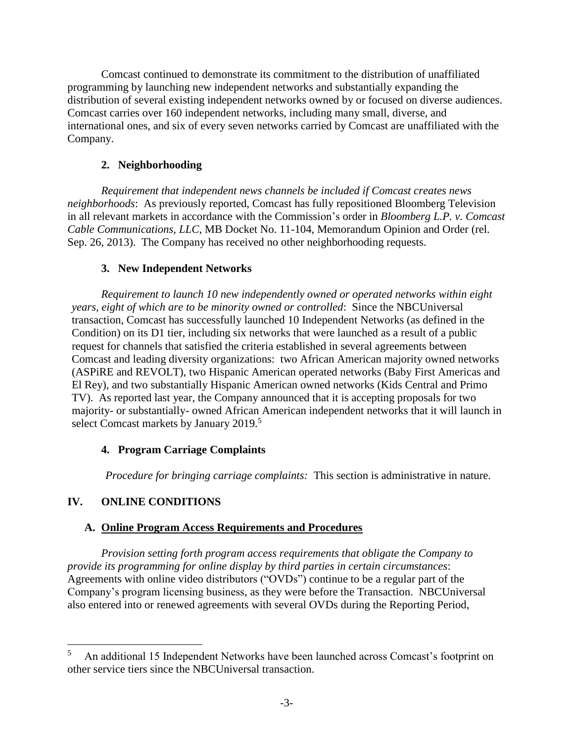Comcast continued to demonstrate its commitment to the distribution of unaffiliated programming by launching new independent networks and substantially expanding the distribution of several existing independent networks owned by or focused on diverse audiences. Comcast carries over 160 independent networks, including many small, diverse, and international ones, and six of every seven networks carried by Comcast are unaffiliated with the Company.

# **2. Neighborhooding**

*Requirement that independent news channels be included if Comcast creates news neighborhoods*: As previously reported, Comcast has fully repositioned Bloomberg Television in all relevant markets in accordance with the Commission's order in *Bloomberg L.P. v. Comcast Cable Communications, LLC*, MB Docket No. 11-104, Memorandum Opinion and Order (rel. Sep. 26, 2013). The Company has received no other neighborhooding requests.

# **3. New Independent Networks**

*Requirement to launch 10 new independently owned or operated networks within eight years, eight of which are to be minority owned or controlled*: Since the NBCUniversal transaction, Comcast has successfully launched 10 Independent Networks (as defined in the Condition) on its D1 tier, including six networks that were launched as a result of a public request for channels that satisfied the criteria established in several agreements between Comcast and leading diversity organizations: two African American majority owned networks (ASPiRE and REVOLT), two Hispanic American operated networks (Baby First Americas and El Rey), and two substantially Hispanic American owned networks (Kids Central and Primo TV). As reported last year, the Company announced that it is accepting proposals for two majority- or substantially- owned African American independent networks that it will launch in select Comcast markets by January 2019.<sup>5</sup>

# **4. Program Carriage Complaints**

*Procedure for bringing carriage complaints:* This section is administrative in nature.

# **IV. ONLINE CONDITIONS**

 $\overline{\phantom{a}}$ 

# **A. Online Program Access Requirements and Procedures**

*Provision setting forth program access requirements that obligate the Company to provide its programming for online display by third parties in certain circumstances*: Agreements with online video distributors ("OVDs") continue to be a regular part of the Company's program licensing business, as they were before the Transaction. NBCUniversal also entered into or renewed agreements with several OVDs during the Reporting Period,

<sup>5</sup> An additional 15 Independent Networks have been launched across Comcast's footprint on other service tiers since the NBCUniversal transaction.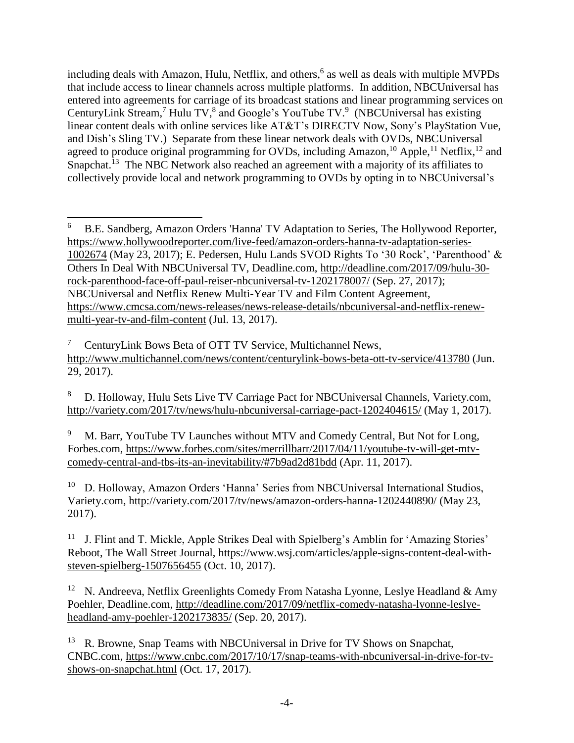including deals with Amazon, Hulu, Netflix, and others, 6 as well as deals with multiple MVPDs that include access to linear channels across multiple platforms. In addition, NBCUniversal has entered into agreements for carriage of its broadcast stations and linear programming services on CenturyLink Stream,<sup>7</sup> Hulu TV, $^8$  and Google's YouTube TV. $^9$  (NBCUniversal has existing linear content deals with online services like AT&T's DIRECTV Now, Sony's PlayStation Vue, and Dish's Sling TV.) Separate from these linear network deals with OVDs, NBCUniversal agreed to produce original programming for OVDs, including Amazon,<sup>10</sup> Apple,<sup>11</sup> Netflix,<sup>12</sup> and Snapchat.<sup>13</sup> The NBC Network also reached an agreement with a majority of its affiliates to collectively provide local and network programming to OVDs by opting in to NBCUniversal's

<sup>7</sup> CenturyLink Bows Beta of OTT TV Service, Multichannel News, <http://www.multichannel.com/news/content/centurylink-bows-beta-ott-tv-service/413780> (Jun. 29, 2017).

<sup>8</sup> D. Holloway, Hulu Sets Live TV Carriage Pact for NBCUniversal Channels, Variety.com, <http://variety.com/2017/tv/news/hulu-nbcuniversal-carriage-pact-1202404615/> (May 1, 2017).

<sup>9</sup> M. Barr, YouTube TV Launches without MTV and Comedy Central, But Not for Long, Forbes.com, [https://www.forbes.com/sites/merrillbarr/2017/04/11/youtube-tv-will-get-mtv](https://www.forbes.com/sites/merrillbarr/2017/04/11/youtube-tv-will-get-mtv-comedy-central-and-tbs-its-an-inevitability/#7b9ad2d81bdd)[comedy-central-and-tbs-its-an-inevitability/#7b9ad2d81bdd](https://www.forbes.com/sites/merrillbarr/2017/04/11/youtube-tv-will-get-mtv-comedy-central-and-tbs-its-an-inevitability/#7b9ad2d81bdd) (Apr. 11, 2017).

<sup>10</sup> D. Holloway, Amazon Orders 'Hanna' Series from NBCUniversal International Studios, Variety.com,<http://variety.com/2017/tv/news/amazon-orders-hanna-1202440890/> (May 23, 2017).

<sup>11</sup> J. Flint and T. Mickle, Apple Strikes Deal with Spielberg's Amblin for 'Amazing Stories' Reboot, The Wall Street Journal, [https://www.wsj.com/articles/apple-signs-content-deal-with](https://www.wsj.com/articles/apple-signs-content-deal-with-steven-spielberg-1507656455)[steven-spielberg-1507656455](https://www.wsj.com/articles/apple-signs-content-deal-with-steven-spielberg-1507656455) (Oct. 10, 2017).

<sup>12</sup> N. Andreeva, Netflix Greenlights Comedy From Natasha Lyonne, Leslye Headland & Amy Poehler, Deadline.com, [http://deadline.com/2017/09/netflix-comedy-natasha-lyonne-leslye](http://deadline.com/2017/09/netflix-comedy-natasha-lyonne-leslye-headland-amy-poehler-1202173835/)[headland-amy-poehler-1202173835/](http://deadline.com/2017/09/netflix-comedy-natasha-lyonne-leslye-headland-amy-poehler-1202173835/) (Sep. 20, 2017).

<sup>13</sup> R. Browne, Snap Teams with NBCUniversal in Drive for TV Shows on Snapchat, CNBC.com, [https://www.cnbc.com/2017/10/17/snap-teams-with-nbcuniversal-in-drive-for-tv](https://www.cnbc.com/2017/10/17/snap-teams-with-nbcuniversal-in-drive-for-tv-shows-on-snapchat.html)[shows-on-snapchat.html](https://www.cnbc.com/2017/10/17/snap-teams-with-nbcuniversal-in-drive-for-tv-shows-on-snapchat.html) (Oct. 17, 2017).

l <sup>6</sup> B.E. Sandberg, Amazon Orders 'Hanna' TV Adaptation to Series, The Hollywood Reporter, [https://www.hollywoodreporter.com/live-feed/amazon-orders-hanna-tv-adaptation-series-](https://www.hollywoodreporter.com/live-feed/amazon-orders-hanna-tv-adaptation-series-1002674)[1002674](https://www.hollywoodreporter.com/live-feed/amazon-orders-hanna-tv-adaptation-series-1002674) (May 23, 2017); E. Pedersen, Hulu Lands SVOD Rights To '30 Rock', 'Parenthood' & Others In Deal With NBCUniversal TV, Deadline.com, [http://deadline.com/2017/09/hulu-30](http://deadline.com/2017/09/hulu-30-rock-parenthood-face-off-paul-reiser-nbcuniversal-tv-1202178007/) [rock-parenthood-face-off-paul-reiser-nbcuniversal-tv-1202178007/](http://deadline.com/2017/09/hulu-30-rock-parenthood-face-off-paul-reiser-nbcuniversal-tv-1202178007/) (Sep. 27, 2017); NBCUniversal and Netflix Renew Multi-Year TV and Film Content Agreement, [https://www.cmcsa.com/news-releases/news-release-details/nbcuniversal-and-netflix-renew](https://www.cmcsa.com/news-releases/news-release-details/nbcuniversal-and-netflix-renew-multi-year-tv-and-film-content)[multi-year-tv-and-film-content](https://www.cmcsa.com/news-releases/news-release-details/nbcuniversal-and-netflix-renew-multi-year-tv-and-film-content) (Jul. 13, 2017).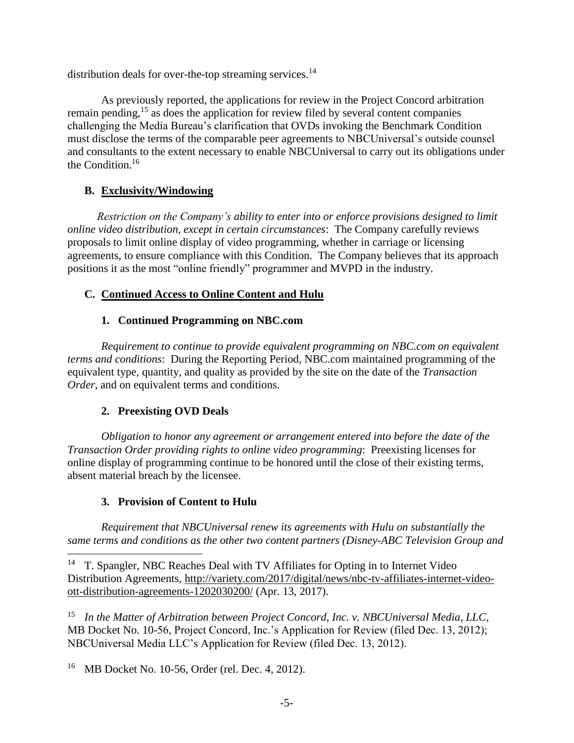distribution deals for over-the-top streaming services.<sup>14</sup>

As previously reported, the applications for review in the Project Concord arbitration remain pending,  $15$  as does the application for review filed by several content companies challenging the Media Bureau's clarification that OVDs invoking the Benchmark Condition must disclose the terms of the comparable peer agreements to NBCUniversal's outside counsel and consultants to the extent necessary to enable NBCUniversal to carry out its obligations under the Condition. 16

# **B. Exclusivity/Windowing**

*Restriction on the Company's ability to enter into or enforce provisions designed to limit online video distribution, except in certain circumstances*: The Company carefully reviews proposals to limit online display of video programming, whether in carriage or licensing agreements, to ensure compliance with this Condition. The Company believes that its approach positions it as the most "online friendly" programmer and MVPD in the industry.

# **C. Continued Access to Online Content and Hulu**

# **1. Continued Programming on NBC.com**

*Requirement to continue to provide equivalent programming on NBC.com on equivalent terms and conditions*: During the Reporting Period, NBC.com maintained programming of the equivalent type, quantity, and quality as provided by the site on the date of the *Transaction Order*, and on equivalent terms and conditions.

# **2. Preexisting OVD Deals**

*Obligation to honor any agreement or arrangement entered into before the date of the Transaction Order providing rights to online video programming*: Preexisting licenses for online display of programming continue to be honored until the close of their existing terms, absent material breach by the licensee.

# **3. Provision of Content to Hulu**

l

*Requirement that NBCUniversal renew its agreements with Hulu on substantially the same terms and conditions as the other two content partners (Disney-ABC Television Group and* 

<sup>15</sup> *In the Matter of Arbitration between Project Concord, Inc. v. NBCUniversal Media, LLC*, MB Docket No. 10-56, Project Concord, Inc.'s Application for Review (filed Dec. 13, 2012); NBCUniversal Media LLC's Application for Review (filed Dec. 13, 2012).

16 MB Docket No. 10-56, Order (rel. Dec. 4, 2012).

 $14$  T. Spangler, NBC Reaches Deal with TV Affiliates for Opting in to Internet Video Distribution Agreements, [http://variety.com/2017/digital/news/nbc-tv-affiliates-internet-video](http://variety.com/2017/digital/news/nbc-tv-affiliates-internet-video-ott-distribution-agreements-1202030200/)[ott-distribution-agreements-1202030200/](http://variety.com/2017/digital/news/nbc-tv-affiliates-internet-video-ott-distribution-agreements-1202030200/) (Apr. 13, 2017).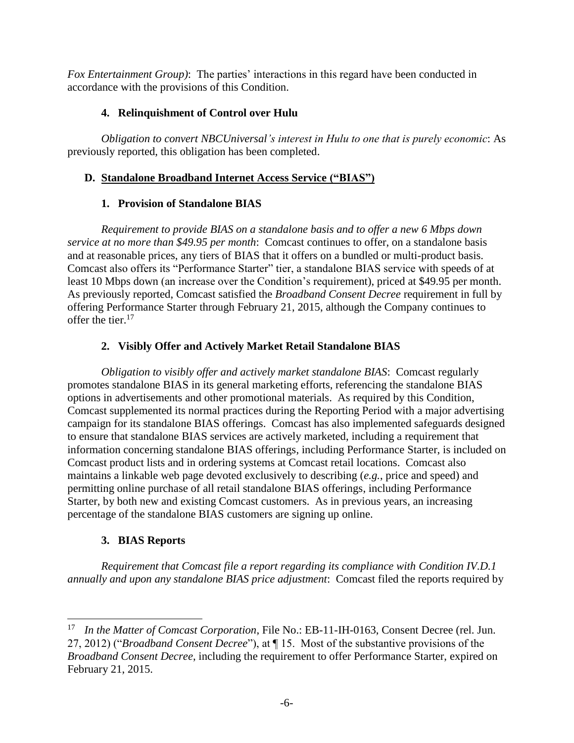*Fox Entertainment Group)*: The parties' interactions in this regard have been conducted in accordance with the provisions of this Condition.

# **4. Relinquishment of Control over Hulu**

*Obligation to convert NBCUniversal's interest in Hulu to one that is purely economic*: As previously reported, this obligation has been completed.

# **D. Standalone Broadband Internet Access Service ("BIAS")**

# **1. Provision of Standalone BIAS**

*Requirement to provide BIAS on a standalone basis and to offer a new 6 Mbps down service at no more than \$49.95 per month*: Comcast continues to offer, on a standalone basis and at reasonable prices, any tiers of BIAS that it offers on a bundled or multi-product basis. Comcast also offers its "Performance Starter" tier, a standalone BIAS service with speeds of at least 10 Mbps down (an increase over the Condition's requirement), priced at \$49.95 per month. As previously reported, Comcast satisfied the *Broadband Consent Decree* requirement in full by offering Performance Starter through February 21, 2015, although the Company continues to offer the tier. 17

# **2. Visibly Offer and Actively Market Retail Standalone BIAS**

*Obligation to visibly offer and actively market standalone BIAS*: Comcast regularly promotes standalone BIAS in its general marketing efforts, referencing the standalone BIAS options in advertisements and other promotional materials. As required by this Condition, Comcast supplemented its normal practices during the Reporting Period with a major advertising campaign for its standalone BIAS offerings. Comcast has also implemented safeguards designed to ensure that standalone BIAS services are actively marketed, including a requirement that information concerning standalone BIAS offerings, including Performance Starter, is included on Comcast product lists and in ordering systems at Comcast retail locations. Comcast also maintains a linkable web page devoted exclusively to describing (*e.g.*, price and speed) and permitting online purchase of all retail standalone BIAS offerings, including Performance Starter, by both new and existing Comcast customers. As in previous years, an increasing percentage of the standalone BIAS customers are signing up online.

# **3. BIAS Reports**

*Requirement that Comcast file a report regarding its compliance with Condition IV.D.1 annually and upon any standalone BIAS price adjustment*: Comcast filed the reports required by

l <sup>17</sup> *In the Matter of Comcast Corporation*, File No.: EB-11-IH-0163, Consent Decree (rel. Jun. 27, 2012) ("*Broadband Consent Decree*"), at ¶ 15. Most of the substantive provisions of the *Broadband Consent Decree*, including the requirement to offer Performance Starter, expired on February 21, 2015.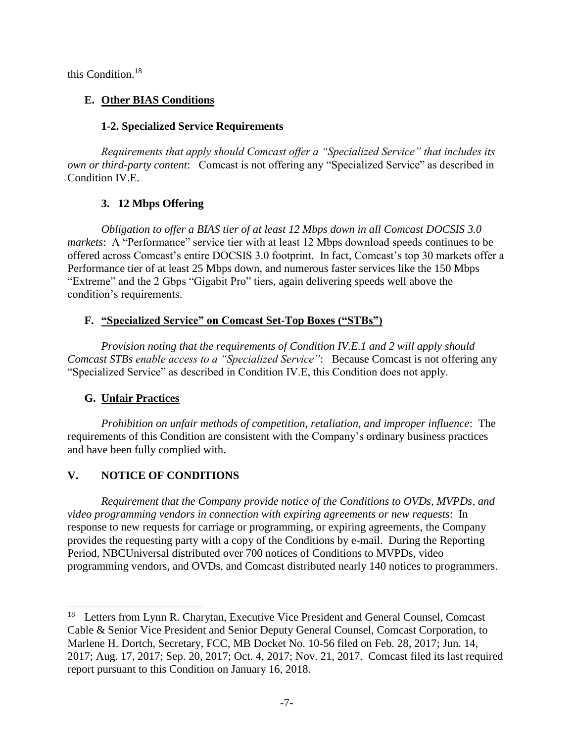this Condition. 18

# **E. Other BIAS Conditions**

# **1-2. Specialized Service Requirements**

*Requirements that apply should Comcast offer a "Specialized Service" that includes its own or third-party content*: Comcast is not offering any "Specialized Service" as described in Condition IV.E.

# **3. 12 Mbps Offering**

*Obligation to offer a BIAS tier of at least 12 Mbps down in all Comcast DOCSIS 3.0 markets*: A "Performance" service tier with at least 12 Mbps download speeds continues to be offered across Comcast's entire DOCSIS 3.0 footprint. In fact, Comcast's top 30 markets offer a Performance tier of at least 25 Mbps down, and numerous faster services like the 150 Mbps "Extreme" and the 2 Gbps "Gigabit Pro" tiers, again delivering speeds well above the condition's requirements.

# **F. "Specialized Service" on Comcast Set-Top Boxes ("STBs")**

*Provision noting that the requirements of Condition IV.E.1 and 2 will apply should Comcast STBs enable access to a "Specialized Service"*: Because Comcast is not offering any "Specialized Service" as described in Condition IV.E, this Condition does not apply.

# **G. Unfair Practices**

l

*Prohibition on unfair methods of competition, retaliation, and improper influence*: The requirements of this Condition are consistent with the Company's ordinary business practices and have been fully complied with.

# **V. NOTICE OF CONDITIONS**

*Requirement that the Company provide notice of the Conditions to OVDs, MVPDs, and video programming vendors in connection with expiring agreements or new requests*: In response to new requests for carriage or programming, or expiring agreements, the Company provides the requesting party with a copy of the Conditions by e-mail. During the Reporting Period, NBCUniversal distributed over 700 notices of Conditions to MVPDs, video programming vendors, and OVDs, and Comcast distributed nearly 140 notices to programmers.

<sup>&</sup>lt;sup>18</sup> Letters from Lynn R. Charytan, Executive Vice President and General Counsel, Comcast Cable & Senior Vice President and Senior Deputy General Counsel, Comcast Corporation, to Marlene H. Dortch, Secretary, FCC, MB Docket No. 10-56 filed on Feb. 28, 2017; Jun. 14, 2017; Aug. 17, 2017; Sep. 20, 2017; Oct. 4, 2017; Nov. 21, 2017. Comcast filed its last required report pursuant to this Condition on January 16, 2018.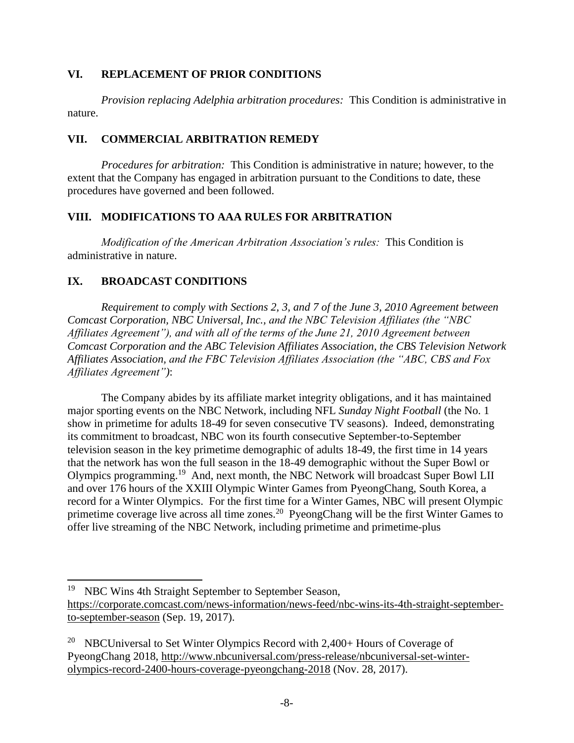#### **VI. REPLACEMENT OF PRIOR CONDITIONS**

*Provision replacing Adelphia arbitration procedures:* This Condition is administrative in nature.

# **VII. COMMERCIAL ARBITRATION REMEDY**

*Procedures for arbitration:* This Condition is administrative in nature; however, to the extent that the Company has engaged in arbitration pursuant to the Conditions to date, these procedures have governed and been followed.

# **VIII. MODIFICATIONS TO AAA RULES FOR ARBITRATION**

*Modification of the American Arbitration Association's rules:* This Condition is administrative in nature.

# **IX. BROADCAST CONDITIONS**

*Requirement to comply with Sections 2, 3, and 7 of the June 3, 2010 Agreement between Comcast Corporation, NBC Universal, Inc., and the NBC Television Affiliates (the "NBC Affiliates Agreement"), and with all of the terms of the June 21, 2010 Agreement between Comcast Corporation and the ABC Television Affiliates Association, the CBS Television Network Affiliates Association, and the FBC Television Affiliates Association (the "ABC, CBS and Fox Affiliates Agreement")*:

The Company abides by its affiliate market integrity obligations, and it has maintained major sporting events on the NBC Network, including NFL *Sunday Night Football* (the No. 1 show in primetime for adults 18-49 for seven consecutive TV seasons). Indeed, demonstrating its commitment to broadcast, NBC won its fourth consecutive September-to-September television season in the key primetime demographic of adults 18-49, the first time in 14 years that the network has won the full season in the 18-49 demographic without the Super Bowl or Olympics programming.<sup>19</sup> And, next month, the NBC Network will broadcast Super Bowl LII and over 176 hours of the XXIII Olympic Winter Games from PyeongChang, South Korea, a record for a Winter Olympics. For the first time for a Winter Games, NBC will present Olympic primetime coverage live across all time zones.<sup>20</sup> PyeongChang will be the first Winter Games to offer live streaming of the NBC Network, including primetime and primetime-plus

 $\overline{\phantom{a}}$ 

<sup>&</sup>lt;sup>19</sup> NBC Wins 4th Straight September to September Season,

[https://corporate.comcast.com/news-information/news-feed/nbc-wins-its-4th-straight-september](https://corporate.comcast.com/news-information/news-feed/nbc-wins-its-4th-straight-september-to-september-season)[to-september-season](https://corporate.comcast.com/news-information/news-feed/nbc-wins-its-4th-straight-september-to-september-season) (Sep. 19, 2017).

<sup>&</sup>lt;sup>20</sup> NBCUniversal to Set Winter Olympics Record with 2,400+ Hours of Coverage of PyeongChang 2018, [http://www.nbcuniversal.com/press-release/nbcuniversal-set-winter](http://www.nbcuniversal.com/press-release/nbcuniversal-set-winter-olympics-record-2400-hours-coverage-pyeongchang-2018)[olympics-record-2400-hours-coverage-pyeongchang-2018](http://www.nbcuniversal.com/press-release/nbcuniversal-set-winter-olympics-record-2400-hours-coverage-pyeongchang-2018) (Nov. 28, 2017).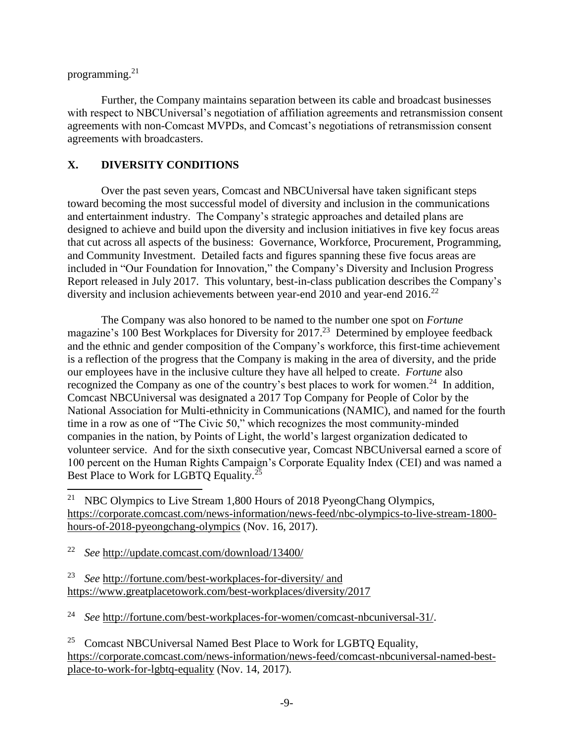programming.<sup>21</sup>

l

Further, the Company maintains separation between its cable and broadcast businesses with respect to NBCUniversal's negotiation of affiliation agreements and retransmission consent agreements with non-Comcast MVPDs, and Comcast's negotiations of retransmission consent agreements with broadcasters.

# **X. DIVERSITY CONDITIONS**

Over the past seven years, Comcast and NBCUniversal have taken significant steps toward becoming the most successful model of diversity and inclusion in the communications and entertainment industry. The Company's strategic approaches and detailed plans are designed to achieve and build upon the diversity and inclusion initiatives in five key focus areas that cut across all aspects of the business: Governance, Workforce, Procurement, Programming, and Community Investment. Detailed facts and figures spanning these five focus areas are included in "Our Foundation for Innovation," the Company's Diversity and Inclusion Progress Report released in July 2017. This voluntary, best-in-class publication describes the Company's diversity and inclusion achievements between year-end 2010 and year-end 2016.<sup>22</sup>

The Company was also honored to be named to the number one spot on *Fortune* magazine's 100 Best Workplaces for Diversity for 2017.<sup>23</sup> Determined by employee feedback and the ethnic and gender composition of the Company's workforce, this first-time achievement is a reflection of the progress that the Company is making in the area of diversity, and the pride our employees have in the inclusive culture they have all helped to create. *Fortune* also recognized the Company as one of the country's best places to work for women.<sup>24</sup> In addition, Comcast NBCUniversal was designated a 2017 Top Company for People of Color by the National Association for Multi-ethnicity in Communications (NAMIC), and named for the fourth time in a row as one of "The Civic 50," which recognizes the most community-minded companies in the nation, by Points of Light, the world's largest organization dedicated to volunteer service. And for the sixth consecutive year, Comcast NBCUniversal earned a score of 100 percent on the Human Rights Campaign's Corporate Equality Index (CEI) and was named a Best Place to Work for LGBTQ Equality.<sup>25</sup>

<sup>21</sup> NBC Olympics to Live Stream 1,800 Hours of 2018 PyeongChang Olympics, [https://corporate.comcast.com/news-information/news-feed/nbc-olympics-to-live-stream-1800](https://corporate.comcast.com/news-information/news-feed/nbc-olympics-to-live-stream-1800-hours-of-2018-pyeongchang-olympics) [hours-of-2018-pyeongchang-olympics](https://corporate.comcast.com/news-information/news-feed/nbc-olympics-to-live-stream-1800-hours-of-2018-pyeongchang-olympics) (Nov. 16, 2017).

<sup>22</sup> *See* <http://update.comcast.com/download/13400/>

<sup>23</sup> *See* <http://fortune.com/best-workplaces-for-diversity/> and https://www.greatplacetowork.com/best-workplaces/diversity/2017

<sup>24</sup> *See* [http://fortune.com/best-workplaces-for-women/comcast-nbcuniversal-31/.](http://fortune.com/best-workplaces-for-women/comcast-nbcuniversal-31/)

<sup>&</sup>lt;sup>25</sup> Comcast NBCUniversal Named Best Place to Work for LGBTO Equality, [https://corporate.comcast.com/news-information/news-feed/comcast-nbcuniversal-named-best](https://corporate.comcast.com/news-information/news-feed/comcast-nbcuniversal-named-best-place-to-work-for-lgbtq-equality)[place-to-work-for-lgbtq-equality](https://corporate.comcast.com/news-information/news-feed/comcast-nbcuniversal-named-best-place-to-work-for-lgbtq-equality) (Nov. 14, 2017).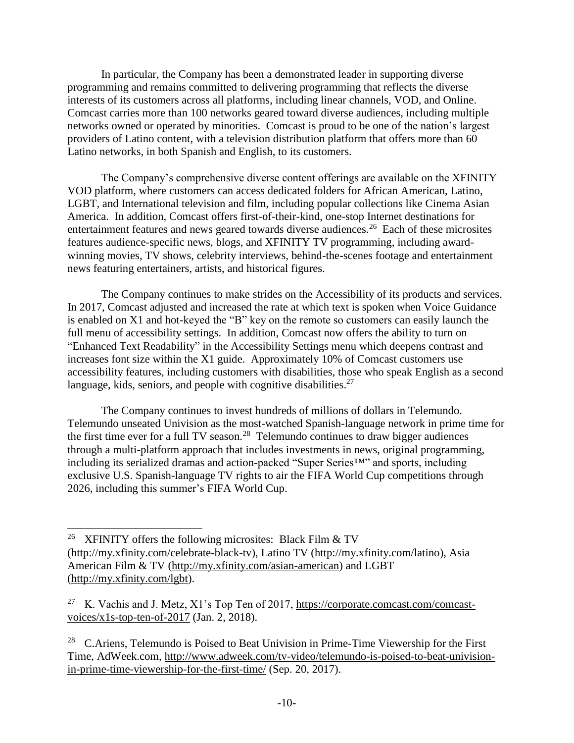In particular, the Company has been a demonstrated leader in supporting diverse programming and remains committed to delivering programming that reflects the diverse interests of its customers across all platforms, including linear channels, VOD, and Online. Comcast carries more than 100 networks geared toward diverse audiences, including multiple networks owned or operated by minorities. Comcast is proud to be one of the nation's largest providers of Latino content, with a television distribution platform that offers more than 60 Latino networks, in both Spanish and English, to its customers.

The Company's comprehensive diverse content offerings are available on the XFINITY VOD platform, where customers can access dedicated folders for African American, Latino, LGBT, and International television and film, including popular collections like Cinema Asian America. In addition, Comcast offers first-of-their-kind, one-stop Internet destinations for entertainment features and news geared towards diverse audiences.<sup>26</sup> Each of these microsites features audience-specific news, blogs, and XFINITY TV programming, including awardwinning movies, TV shows, celebrity interviews, behind-the-scenes footage and entertainment news featuring entertainers, artists, and historical figures.

The Company continues to make strides on the Accessibility of its products and services. In 2017, Comcast adjusted and increased the rate at which text is spoken when Voice Guidance is enabled on X1 and hot-keyed the "B" key on the remote so customers can easily launch the full menu of accessibility settings. In addition, Comcast now offers the ability to turn on "Enhanced Text Readability" in the Accessibility Settings menu which deepens contrast and increases font size within the X1 guide. Approximately 10% of Comcast customers use accessibility features, including customers with disabilities, those who speak English as a second language, kids, seniors, and people with cognitive disabilities.<sup>27</sup>

The Company continues to invest hundreds of millions of dollars in Telemundo. Telemundo unseated Univision as the most-watched Spanish-language network in prime time for the first time ever for a full TV season.<sup>28</sup> Telemundo continues to draw bigger audiences through a multi-platform approach that includes investments in news, original programming, including its serialized dramas and action-packed "Super Series™" and sports, including exclusive U.S. Spanish-language TV rights to air the FIFA World Cup competitions through 2026, including this summer's FIFA World Cup.

 $\overline{a}$ 

<sup>&</sup>lt;sup>26</sup> XFINITY offers the following microsites: Black Film & TV [\(http://my.xfinity.com/celebrate-black-tv\)](http://my.xfinity.com/celebrate-black-tv), Latino TV [\(http://my.xfinity.com/latino\)](http://my.xfinity.com/latino), Asia American Film & TV [\(http://my.xfinity.com/asian-american\)](http://my.xfinity.com/asian-american) and LGBT [\(http://my.xfinity.com/lgbt\)](http://my.xfinity.com/lgbt).

<sup>&</sup>lt;sup>27</sup> K. Vachis and J. Metz, X1's Top Ten of 2017, [https://corporate.comcast.com/comcast](https://corporate.comcast.com/comcast-voices/x1s-top-ten-of-2017)[voices/x1s-top-ten-of-2017](https://corporate.comcast.com/comcast-voices/x1s-top-ten-of-2017) (Jan. 2, 2018).

<sup>&</sup>lt;sup>28</sup> C.Ariens, Telemundo is Poised to Beat Univision in Prime-Time Viewership for the First Time, AdWeek.com, [http://www.adweek.com/tv-video/telemundo-is-poised-to-beat-univision](http://www.adweek.com/tv-video/telemundo-is-poised-to-beat-univision-in-prime-time-viewership-for-the-first-time/)[in-prime-time-viewership-for-the-first-time/](http://www.adweek.com/tv-video/telemundo-is-poised-to-beat-univision-in-prime-time-viewership-for-the-first-time/) (Sep. 20, 2017).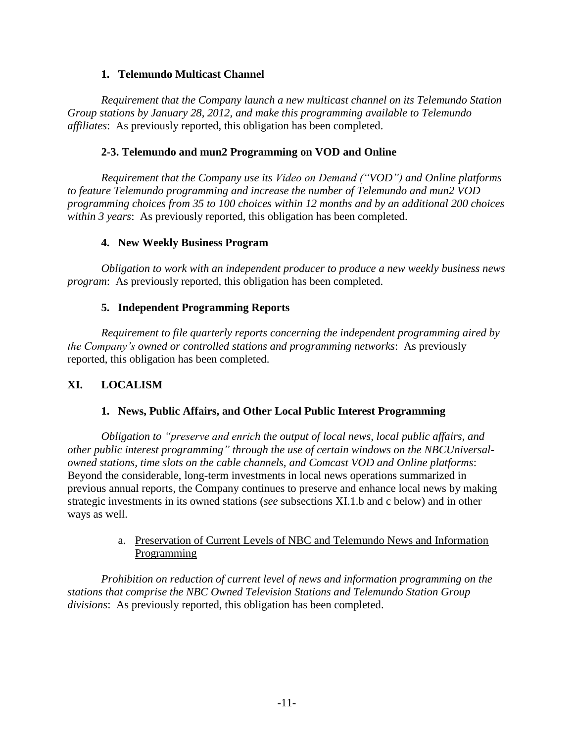## **1. Telemundo Multicast Channel**

*Requirement that the Company launch a new multicast channel on its Telemundo Station Group stations by January 28, 2012, and make this programming available to Telemundo affiliates*: As previously reported, this obligation has been completed.

### **2-3. Telemundo and mun2 Programming on VOD and Online**

*Requirement that the Company use its Video on Demand ("VOD") and Online platforms to feature Telemundo programming and increase the number of Telemundo and mun2 VOD programming choices from 35 to 100 choices within 12 months and by an additional 200 choices within 3 years*: As previously reported, this obligation has been completed.

#### **4. New Weekly Business Program**

*Obligation to work with an independent producer to produce a new weekly business news program*: As previously reported, this obligation has been completed.

#### **5. Independent Programming Reports**

*Requirement to file quarterly reports concerning the independent programming aired by the Company's owned or controlled stations and programming networks*: As previously reported, this obligation has been completed.

# **XI. LOCALISM**

# **1. News, Public Affairs, and Other Local Public Interest Programming**

*Obligation to "preserve and enrich the output of local news, local public affairs, and other public interest programming" through the use of certain windows on the NBCUniversalowned stations, time slots on the cable channels, and Comcast VOD and Online platforms*: Beyond the considerable, long-term investments in local news operations summarized in previous annual reports, the Company continues to preserve and enhance local news by making strategic investments in its owned stations (*see* subsections XI.1.b and c below) and in other ways as well.

#### a. Preservation of Current Levels of NBC and Telemundo News and Information Programming

*Prohibition on reduction of current level of news and information programming on the stations that comprise the NBC Owned Television Stations and Telemundo Station Group divisions*: As previously reported, this obligation has been completed.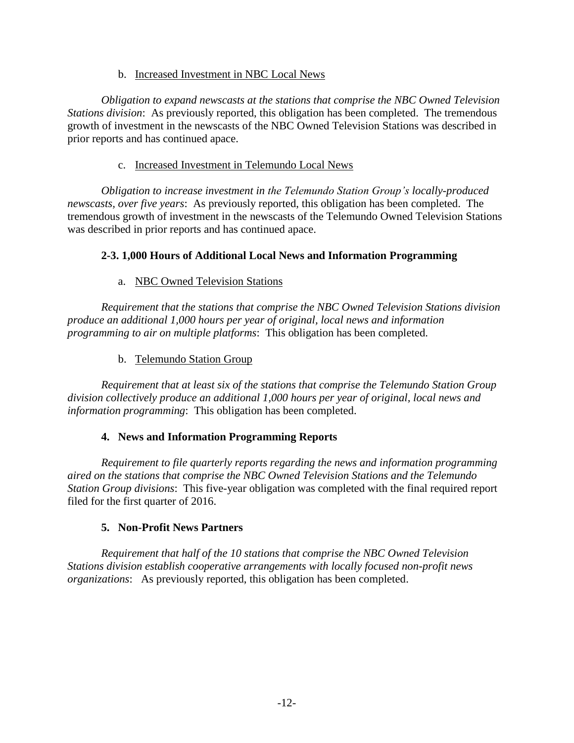#### b. Increased Investment in NBC Local News

*Obligation to expand newscasts at the stations that comprise the NBC Owned Television Stations division*: As previously reported, this obligation has been completed. The tremendous growth of investment in the newscasts of the NBC Owned Television Stations was described in prior reports and has continued apace.

### c. Increased Investment in Telemundo Local News

*Obligation to increase investment in the Telemundo Station Group's locally-produced newscasts, over five years*: As previously reported, this obligation has been completed. The tremendous growth of investment in the newscasts of the Telemundo Owned Television Stations was described in prior reports and has continued apace.

# **2-3. 1,000 Hours of Additional Local News and Information Programming**

# a. NBC Owned Television Stations

*Requirement that the stations that comprise the NBC Owned Television Stations division produce an additional 1,000 hours per year of original, local news and information programming to air on multiple platforms*: This obligation has been completed.

# b. Telemundo Station Group

*Requirement that at least six of the stations that comprise the Telemundo Station Group division collectively produce an additional 1,000 hours per year of original, local news and information programming*: This obligation has been completed.

# **4. News and Information Programming Reports**

*Requirement to file quarterly reports regarding the news and information programming aired on the stations that comprise the NBC Owned Television Stations and the Telemundo Station Group divisions*: This five-year obligation was completed with the final required report filed for the first quarter of 2016.

#### **5. Non-Profit News Partners**

*Requirement that half of the 10 stations that comprise the NBC Owned Television Stations division establish cooperative arrangements with locally focused non-profit news organizations*: As previously reported, this obligation has been completed.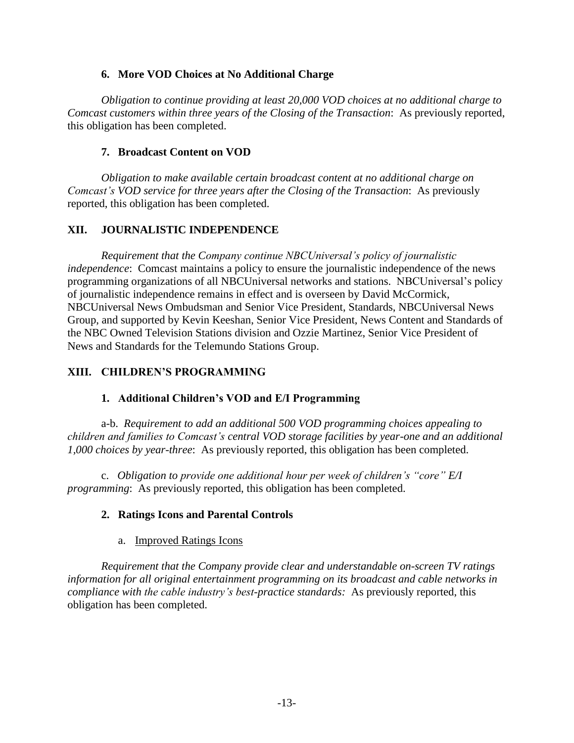#### **6. More VOD Choices at No Additional Charge**

*Obligation to continue providing at least 20,000 VOD choices at no additional charge to Comcast customers within three years of the Closing of the Transaction*: As previously reported, this obligation has been completed.

### **7. Broadcast Content on VOD**

*Obligation to make available certain broadcast content at no additional charge on Comcast's VOD service for three years after the Closing of the Transaction*: As previously reported, this obligation has been completed.

# **XII. JOURNALISTIC INDEPENDENCE**

*Requirement that the Company continue NBCUniversal's policy of journalistic independence*: Comcast maintains a policy to ensure the journalistic independence of the news programming organizations of all NBCUniversal networks and stations. NBCUniversal's policy of journalistic independence remains in effect and is overseen by David McCormick, NBCUniversal News Ombudsman and Senior Vice President, Standards, NBCUniversal News Group, and supported by Kevin Keeshan, Senior Vice President, News Content and Standards of the NBC Owned Television Stations division and Ozzie Martinez, Senior Vice President of News and Standards for the Telemundo Stations Group.

# **XIII. CHILDREN'S PROGRAMMING**

#### **1. Additional Children's VOD and E/I Programming**

a-b. *Requirement to add an additional 500 VOD programming choices appealing to children and families to Comcast's central VOD storage facilities by year-one and an additional 1,000 choices by year-three*: As previously reported, this obligation has been completed.

c. *Obligation to provide one additional hour per week of children's "core" E/I programming*: As previously reported, this obligation has been completed.

#### **2. Ratings Icons and Parental Controls**

#### a. Improved Ratings Icons

*Requirement that the Company provide clear and understandable on-screen TV ratings information for all original entertainment programming on its broadcast and cable networks in compliance with the cable industry's best-practice standards:* As previously reported, this obligation has been completed.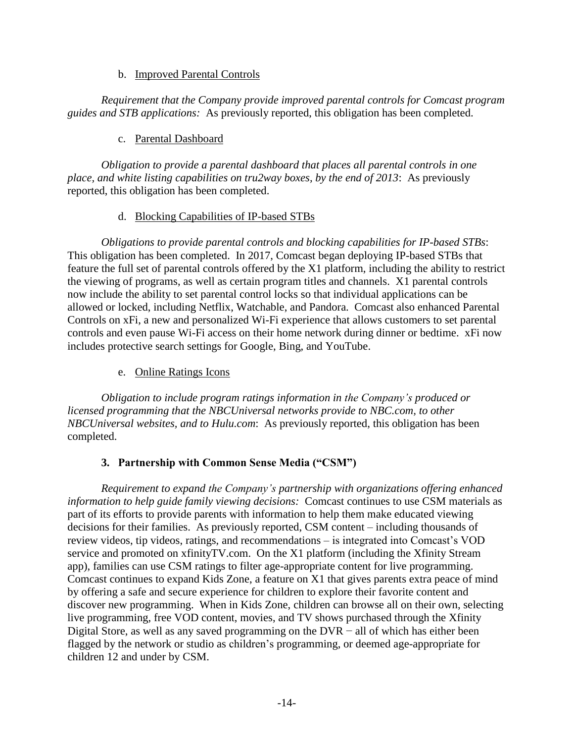#### b. Improved Parental Controls

*Requirement that the Company provide improved parental controls for Comcast program guides and STB applications:* As previously reported, this obligation has been completed.

# c. Parental Dashboard

*Obligation to provide a parental dashboard that places all parental controls in one place, and white listing capabilities on tru2way boxes, by the end of 2013*: As previously reported, this obligation has been completed.

# d. Blocking Capabilities of IP-based STBs

*Obligations to provide parental controls and blocking capabilities for IP-based STBs*: This obligation has been completed. In 2017, Comcast began deploying IP-based STBs that feature the full set of parental controls offered by the X1 platform, including the ability to restrict the viewing of programs, as well as certain program titles and channels. X1 parental controls now include the ability to set parental control locks so that individual applications can be allowed or locked, including Netflix, Watchable, and Pandora. Comcast also enhanced Parental Controls on xFi, a new and personalized Wi-Fi experience that allows customers to set parental controls and even pause Wi-Fi access on their home network during dinner or bedtime. xFi now includes protective search settings for Google, Bing, and YouTube.

# e. Online Ratings Icons

*Obligation to include program ratings information in the Company's produced or licensed programming that the NBCUniversal networks provide to NBC.com, to other NBCUniversal websites, and to Hulu.com*: As previously reported, this obligation has been completed.

# **3. Partnership with Common Sense Media ("CSM")**

*Requirement to expand the Company's partnership with organizations offering enhanced information to help guide family viewing decisions:* Comcast continues to use CSM materials as part of its efforts to provide parents with information to help them make educated viewing decisions for their families. As previously reported, CSM content – including thousands of review videos, tip videos, ratings, and recommendations – is integrated into Comcast's VOD service and promoted on xfinityTV.com. On the X1 platform (including the Xfinity Stream app), families can use CSM ratings to filter age-appropriate content for live programming. Comcast continues to expand Kids Zone, a feature on X1 that gives parents extra peace of mind by offering a safe and secure experience for children to explore their favorite content and discover new programming. When in Kids Zone, children can browse all on their own, selecting live programming, free VOD content, movies, and TV shows purchased through the Xfinity Digital Store, as well as any saved programming on the DVR − all of which has either been flagged by the network or studio as children's programming, or deemed age-appropriate for children 12 and under by CSM.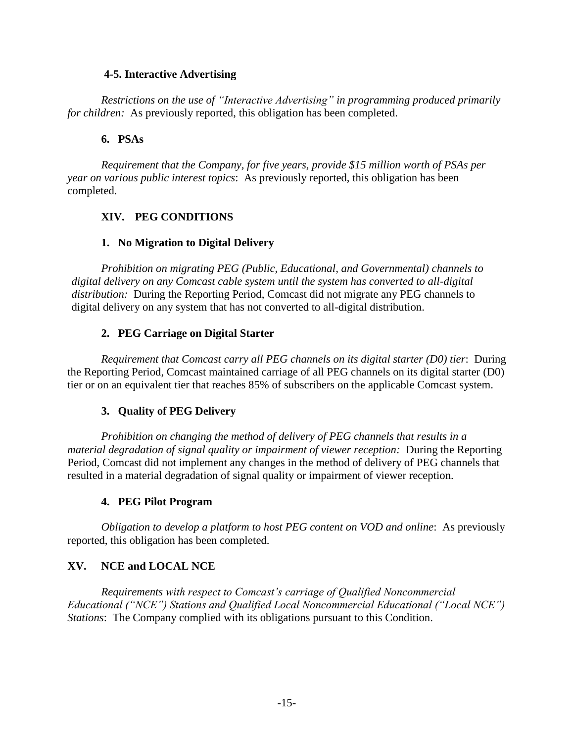#### **4-5. Interactive Advertising**

*Restrictions on the use of "Interactive Advertising" in programming produced primarily for children:* As previously reported, this obligation has been completed.

# **6. PSAs**

*Requirement that the Company, for five years, provide \$15 million worth of PSAs per year on various public interest topics*: As previously reported, this obligation has been completed.

# **XIV. PEG CONDITIONS**

# **1. No Migration to Digital Delivery**

*Prohibition on migrating PEG (Public, Educational, and Governmental) channels to digital delivery on any Comcast cable system until the system has converted to all-digital distribution:* During the Reporting Period, Comcast did not migrate any PEG channels to digital delivery on any system that has not converted to all-digital distribution.

# **2. PEG Carriage on Digital Starter**

*Requirement that Comcast carry all PEG channels on its digital starter (D0) tier*: During the Reporting Period, Comcast maintained carriage of all PEG channels on its digital starter (D0) tier or on an equivalent tier that reaches 85% of subscribers on the applicable Comcast system.

# **3. Quality of PEG Delivery**

*Prohibition on changing the method of delivery of PEG channels that results in a material degradation of signal quality or impairment of viewer reception:* During the Reporting Period, Comcast did not implement any changes in the method of delivery of PEG channels that resulted in a material degradation of signal quality or impairment of viewer reception.

# **4. PEG Pilot Program**

*Obligation to develop a platform to host PEG content on VOD and online*: As previously reported, this obligation has been completed.

# **XV. NCE and LOCAL NCE**

*Requirements with respect to Comcast's carriage of Qualified Noncommercial Educational ("NCE") Stations and Qualified Local Noncommercial Educational ("Local NCE") Stations*: The Company complied with its obligations pursuant to this Condition.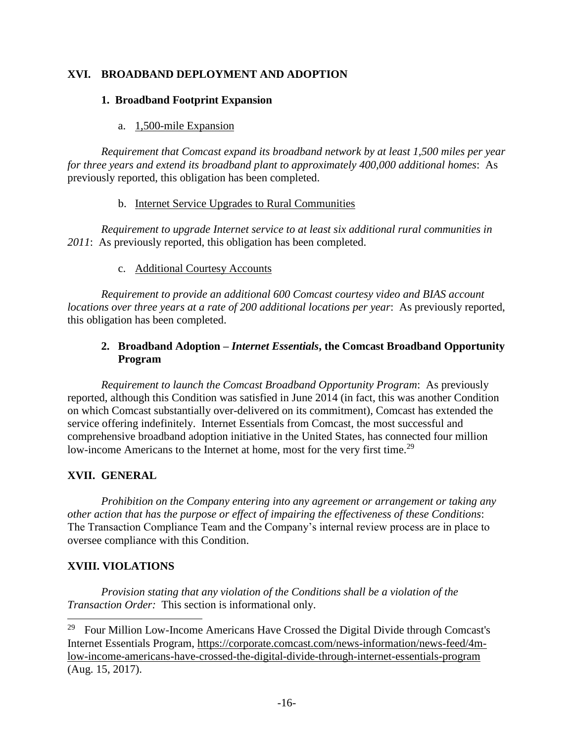# **XVI. BROADBAND DEPLOYMENT AND ADOPTION**

### **1. Broadband Footprint Expansion**

### a. 1,500-mile Expansion

*Requirement that Comcast expand its broadband network by at least 1,500 miles per year for three years and extend its broadband plant to approximately 400,000 additional homes*: As previously reported, this obligation has been completed.

#### b. Internet Service Upgrades to Rural Communities

*Requirement to upgrade Internet service to at least six additional rural communities in 2011*: As previously reported, this obligation has been completed.

#### c. Additional Courtesy Accounts

*Requirement to provide an additional 600 Comcast courtesy video and BIAS account locations over three years at a rate of 200 additional locations per year*: As previously reported, this obligation has been completed.

# **2. Broadband Adoption –** *Internet Essentials***, the Comcast Broadband Opportunity Program**

*Requirement to launch the Comcast Broadband Opportunity Program*: As previously reported, although this Condition was satisfied in June 2014 (in fact, this was another Condition on which Comcast substantially over-delivered on its commitment), Comcast has extended the service offering indefinitely. Internet Essentials from Comcast, the most successful and comprehensive broadband adoption initiative in the United States, has connected four million low-income Americans to the Internet at home, most for the very first time.<sup>29</sup>

# **XVII. GENERAL**

*Prohibition on the Company entering into any agreement or arrangement or taking any other action that has the purpose or effect of impairing the effectiveness of these Conditions*: The Transaction Compliance Team and the Company's internal review process are in place to oversee compliance with this Condition.

# **XVIII. VIOLATIONS**

l

*Provision stating that any violation of the Conditions shall be a violation of the Transaction Order:* This section is informational only.

<sup>29</sup> Four Million Low-Income Americans Have Crossed the Digital Divide through Comcast's Internet Essentials Program, [https://corporate.comcast.com/news-information/news-feed/4m](https://corporate.comcast.com/news-information/news-feed/4m-low-income-americans-have-crossed-the-digital-divide-through-internet-essentials-program)[low-income-americans-have-crossed-the-digital-divide-through-internet-essentials-program](https://corporate.comcast.com/news-information/news-feed/4m-low-income-americans-have-crossed-the-digital-divide-through-internet-essentials-program) (Aug. 15, 2017).